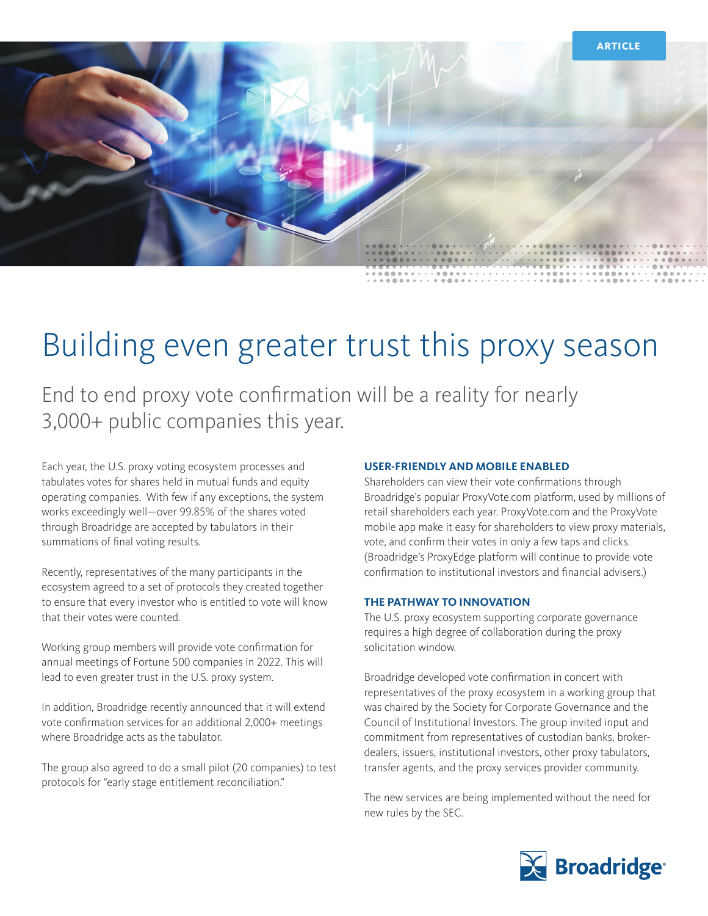

# Building even greater trust this proxy season

End to end proxy vote confirmation will be a reality for nearly 3,000+ public companies this year.

Each year, the U.S. proxy voting ecosystem processes and tabulates votes for shares held in mutual funds and equity operating companies. With few if any exceptions, the system works exceedingly well—over 99.85% of the shares voted through Broadridge are accepted by tabulators in their summations of final voting results.

Recently, representatives of the many participants in the ecosystem agreed to a set of protocols they created together to ensure that every investor who is entitled to vote will know that their votes were counted.

Working group members will provide vote confirmation for annual meetings of Fortune 500 companies in 2022. This will lead to even greater trust in the U.S. proxy system.

In addition, Broadridge recently announced that it will extend vote confirmation services for an additional 2,000+ meetings where Broadridge acts as the tabulator.

The group also agreed to do a small pilot (20 companies) to test protocols for "early stage entitlement reconciliation."

# **USER-FRIENDLY AND MOBILE ENABLED**

Shareholders can view their vote confirmations through Broadridge's popular ProxyVote.com platform, used by millions of retail shareholders each year. ProxyVote.com and the ProxyVote mobile app make it easy for shareholders to view proxy materials, vote, and confirm their votes in only a few taps and clicks. (Broadridge's ProxyEdge platform will continue to provide vote confirmation to institutional investors and financial advisers.)

#### **THE PATHWAY TO INNOVATION**

The U.S. proxy ecosystem supporting corporate governance requires a high degree of collaboration during the proxy solicitation window.

Broadridge developed vote confirmation in concert with representatives of the proxy ecosystem in a working group that was chaired by the Society for Corporate Governance and the Council of Institutional Investors. The group invited input and commitment from representatives of custodian banks, brokerdealers, issuers, institutional investors, other proxy tabulators, transfer agents, and the proxy services provider community.

The new services are being implemented without the need for new rules by the SEC.